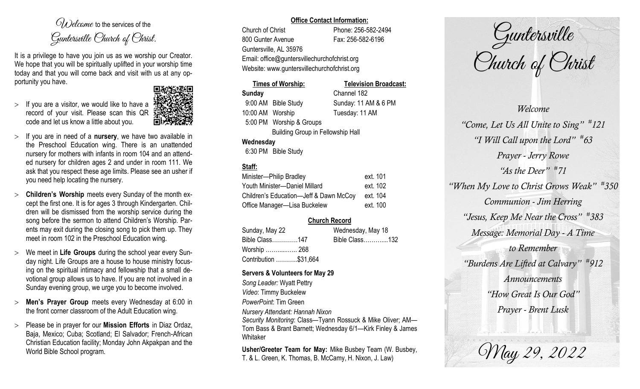$O(\lambda)$  elcame to the services of the Guntersville Church of Christ.

It is a privilege to have you join us as we worship our Creator. We hope that you will be spiritually uplifted in your worship time today and that you will come back and visit with us at any opportunity you have.

 $>$  If you are a visitor, we would like to have a record of your visit. Please scan this QR code and let us know a little about you.



- $>$  If you are in need of a **nursery**, we have two available in the Preschool Education wing. There is an unattended nursery for mothers with infants in room 104 and an attended nursery for children ages 2 and under in room 111. We ask that you respect these age limits. Please see an usher if you need help locating the nursery.
- **Children's Worship** meets every Sunday of the month except the first one. It is for ages 3 through Kindergarten. Children will be dismissed from the worship service during the song before the sermon to attend Children's Worship. Parents may exit during the closing song to pick them up. They meet in room 102 in the Preschool Education wing.
- We meet in **Life Groups** during the school year every Sunday night. Life Groups are a house to house ministry focusing on the spiritual intimacy and fellowship that a small devotional group allows us to have. If you are not involved in a Sunday evening group, we urge you to become involved.
- **Men's Prayer Group** meets every Wednesday at 6:00 in the front corner classroom of the Adult Education wing.
- Please be in prayer for our **Mission Efforts** in Diaz Ordaz, Baja, Mexico; Cuba; Scotland; El Salvador; French-African Christian Education facility; Monday John Akpakpan and the World Bible School program.

#### **Office Contact Information:**

Church of Christ Phone: 256-582-2494 800 Gunter Avenue Fax: 256-582-6196 Guntersville, AL 35976 Email: office@guntersvillechurchofchrist.org Website: www.guntersvillechurchofchrist.org

# **Times of Worship: Television Broadcast:**

**Sunday** Channel 182 9:00 AM Bible Study Sunday: 11 AM & 6 PM 10:00 AM Worship Tuesday: 11 AM 5:00 PM Worship & Groups

Building Group in Fellowship Hall

## **Wednesday**

6:30 PM Bible Study

## **Staff:**

| Minister-Philip Bradley                | ext. 101 |
|----------------------------------------|----------|
| Youth Minister-Daniel Millard          | ext. 102 |
| Children's Education-Jeff & Dawn McCoy | ext. 104 |
| Office Manager-Lisa Buckelew           | ext. 100 |

## **Church Record**

| Sunday, May 22        | Wednesday, May 18 |  |
|-----------------------|-------------------|--|
| Bible Class147        | Bible Class132    |  |
| Worship  268          |                   |  |
| Contribution \$31,664 |                   |  |

### **Servers & Volunteers for May 29**

*Song Leader:* Wyatt Pettry *Video*: Timmy Buckelew *PowerPoint*: Tim Green *Nursery Attendant: Hannah Nixon Security Monitoring*: Class—Tyann Rossuck & Mike Oliver; AM— Tom Bass & Brant Barnett; Wednesday 6/1—Kirk Finley & James Whitaker

**Usher/Greeter Team for May:** Mike Busbey Team (W. Busbey, T. & L. Green, K. Thomas, B. McCamy, H. Nixon, J. Law)

Guntersville Church of Christ

*Welcome "Come, Let Us All Unite to Sing" # 121 "I Will Call upon the Lord" # 63 Prayer - Jerry Rowe "As the Deer" # 71 "When My Love to Christ Grows Weak" # 350 Communion - Jim Herring "Jesus, Keep Me Near the Cross" # 383 Message: Memorial Day - A Time to Remember "Burdens Are Lifted at Calvary" # 912 Announcements "How Great Is Our God" Prayer - Brent Lusk*

May 29, 2022